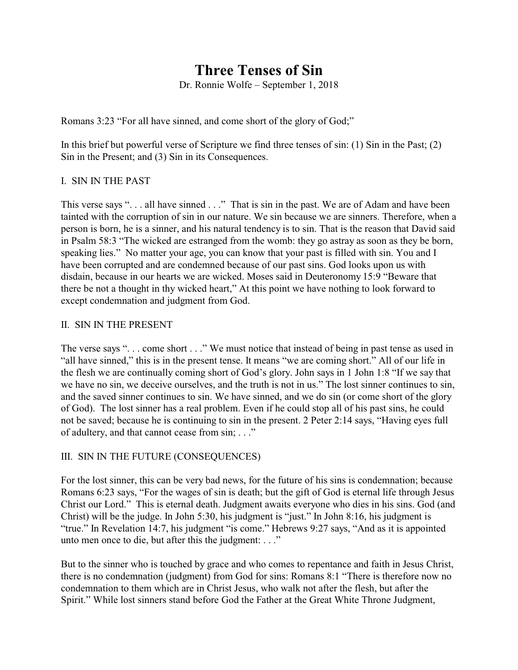## **Three Tenses of Sin**

Dr. Ronnie Wolfe – September 1, 2018

Romans 3:23 "For all have sinned, and come short of the glory of God;"

In this brief but powerful verse of Scripture we find three tenses of sin: (1) Sin in the Past; (2) Sin in the Present; and (3) Sin in its Consequences.

## I. SIN IN THE PAST

This verse says "... all have sinned ..." That is sin in the past. We are of Adam and have been tainted with the corruption of sin in our nature. We sin because we are sinners. Therefore, when a person is born, he is a sinner, and his natural tendency is to sin. That is the reason that David said in Psalm 58:3 "The wicked are estranged from the womb: they go astray as soon as they be born, speaking lies." No matter your age, you can know that your past is filled with sin. You and I have been corrupted and are condemned because of our past sins. God looks upon us with disdain, because in our hearts we are wicked. Moses said in Deuteronomy 15:9 "Beware that there be not a thought in thy wicked heart," At this point we have nothing to look forward to except condemnation and judgment from God.

## II. SIN IN THE PRESENT

The verse says ". . . come short . . ." We must notice that instead of being in past tense as used in "all have sinned," this is in the present tense. It means "we are coming short." All of our life in the flesh we are continually coming short of God's glory. John says in 1 John 1:8 "If we say that we have no sin, we deceive ourselves, and the truth is not in us." The lost sinner continues to sin, and the saved sinner continues to sin. We have sinned, and we do sin (or come short of the glory of God). The lost sinner has a real problem. Even if he could stop all of his past sins, he could not be saved; because he is continuing to sin in the present. 2 Peter 2:14 says, "Having eyes full of adultery, and that cannot cease from sin; . . ."

## III. SIN IN THE FUTURE (CONSEQUENCES)

For the lost sinner, this can be very bad news, for the future of his sins is condemnation; because Romans 6:23 says, "For the wages of sin is death; but the gift of God is eternal life through Jesus Christ our Lord." This is eternal death. Judgment awaits everyone who dies in his sins. God (and Christ) will be the judge. In John 5:30, his judgment is "just." In John 8:16, his judgment is "true." In Revelation 14:7, his judgment "is come." Hebrews 9:27 says, "And as it is appointed unto men once to die, but after this the judgment: . . ."

But to the sinner who is touched by grace and who comes to repentance and faith in Jesus Christ, there is no condemnation (judgment) from God for sins: Romans 8:1 "There is therefore now no condemnation to them which are in Christ Jesus, who walk not after the flesh, but after the Spirit." While lost sinners stand before God the Father at the Great White Throne Judgment,